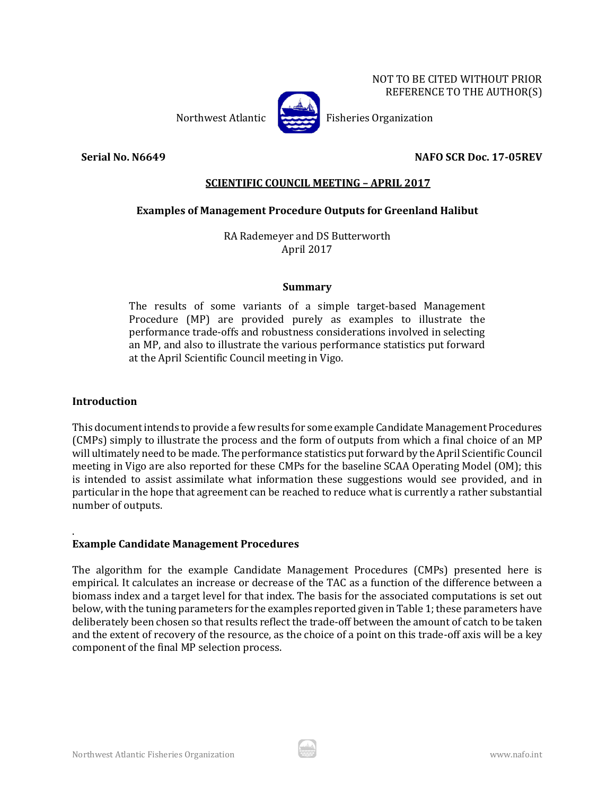NOT TO BE CITED WITHOUT PRIOR REFERENCE TO THE AUTHOR(S)



Northwest Atlantic Fisheries Organization

# **Serial No. N6649 NAFO SCR Doc. 17-05REV**

# **SCIENTIFIC COUNCIL MEETING – APRIL 2017**

# **Examples of Management Procedure Outputs for Greenland Halibut**

RA Rademeyer and DS Butterworth April 2017

### **Summary**

The results of some variants of a simple target-based Management Procedure (MP) are provided purely as examples to illustrate the performance trade-offs and robustness considerations involved in selecting an MP, and also to illustrate the various performance statistics put forward at the April Scientific Council meeting in Vigo.

## **Introduction**

This document intends to provide a few results for some example Candidate Management Procedures (CMPs) simply to illustrate the process and the form of outputs from which a final choice of an MP will ultimately need to be made. The performance statistics put forward by the April Scientific Council meeting in Vigo are also reported for these CMPs for the baseline SCAA Operating Model (OM); this is intended to assist assimilate what information these suggestions would see provided, and in particular in the hope that agreement can be reached to reduce what is currently a rather substantial number of outputs.

#### . **Example Candidate Management Procedures**

The algorithm for the example Candidate Management Procedures (CMPs) presented here is empirical. It calculates an increase or decrease of the TAC as a function of the difference between a biomass index and a target level for that index. The basis for the associated computations is set out below, with the tuning parameters for the examples reported given in Table 1; these parameters have deliberately been chosen so that results reflect the trade-off between the amount of catch to be taken and the extent of recovery of the resource, as the choice of a point on this trade-off axis will be a key component of the final MP selection process.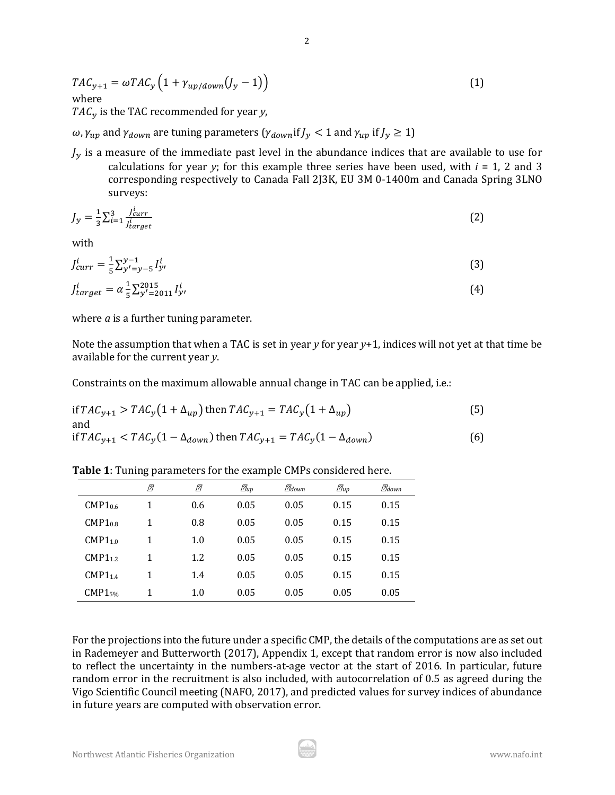$$
TAC_{y+1} = \omega TAC_y \left( 1 + \gamma_{up/down}(J_y - 1) \right)
$$
 (1)  
where

 $TAC_y$  is the TAC recommended for year *y*,

 $\omega$ ,  $\gamma_{un}$  and  $\gamma_{down}$  are tuning parameters  $(\gamma_{down}$ if  $J_v < 1$  and  $\gamma_{un}$  if  $J_v \ge 1$ )

 $J_{\nu}$  is a measure of the immediate past level in the abundance indices that are available to use for calculations for year *y*; for this example three series have been used, with  $i = 1$ , 2 and 3 corresponding respectively to Canada Fall 2J3K, EU 3M 0-1400m and Canada Spring 3LNO surveys:

$$
J_{y} = \frac{1}{3} \sum_{i=1}^{3} \frac{J_{curr}^{i}}{J_{target}^{i}}
$$
 (2)

with

$$
J_{curr}^i = \frac{1}{5} \sum_{y'=y-5}^{y-1} I_{y'}^i
$$
 (3)

$$
J_{target}^{i} = \alpha \frac{1}{5} \sum_{y'=2011}^{2015} I_{y'}^{i}
$$
 (4)

where *a* is a further tuning parameter.

Note the assumption that when a TAC is set in year *y* for year *y*+1, indices will not yet at that time be available for the current year *y*.

Constraints on the maximum allowable annual change in TAC can be applied, i.e.:

if 
$$
TAC_{y+1} > TAC_y(1 + \Delta_{up})
$$
 then  $TAC_{y+1} = TAC_y(1 + \Delta_{up})$  (5)  
and

if 
$$
TAC_{y+1} < TAC_y(1 - \Delta_{down})
$$
 then  $TAC_{y+1} = TAC_y(1 - \Delta_{down})$  (6)

**Table 1**: Tuning parameters for the example CMPs considered here.

|                     | [7] | [7] | $\mathbb{Z}_{up}$ | $\mathbb{Z}_{down}$ | $\mathbb{Z}_{up}$ | $\mathbb{Z}_{down}$ |
|---------------------|-----|-----|-------------------|---------------------|-------------------|---------------------|
| CMP1 <sub>0.6</sub> |     | 0.6 | 0.05              | 0.05                | 0.15              | 0.15                |
| CMP1 <sub>0.8</sub> |     | 0.8 | 0.05              | 0.05                | 0.15              | 0.15                |
| $CMP1_{1.0}$        | 1   | 1.0 | 0.05              | 0.05                | 0.15              | 0.15                |
| CMP1 <sub>1.2</sub> |     | 1.2 | 0.05              | 0.05                | 0.15              | 0.15                |
| $CMP1_{1.4}$        |     | 1.4 | 0.05              | 0.05                | 0.15              | 0.15                |
| CMP15%              |     | 1.0 | 0.05              | 0.05                | 0.05              | 0.05                |

For the projections into the future under a specific CMP, the details of the computations are as set out in Rademeyer and Butterworth (2017), Appendix 1, except that random error is now also included to reflect the uncertainty in the numbers-at-age vector at the start of 2016. In particular, future random error in the recruitment is also included, with autocorrelation of 0.5 as agreed during the Vigo Scientific Council meeting (NAFO, 2017), and predicted values for survey indices of abundance in future years are computed with observation error.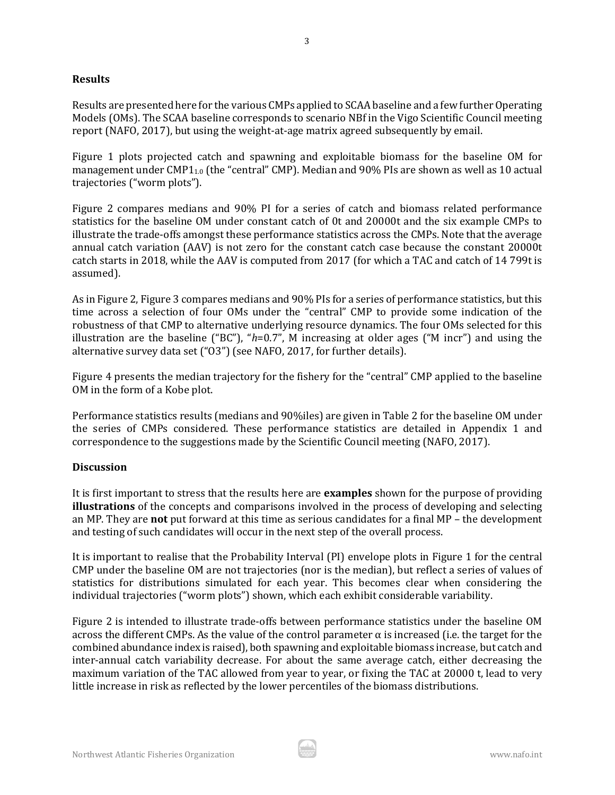## **Results**

Results are presented here for the various CMPs applied to SCAA baseline and a few further Operating Models (OMs). The SCAA baseline corresponds to scenario NBf in the Vigo Scientific Council meeting report (NAFO, 2017), but using the weight-at-age matrix agreed subsequently by email.

Figure 1 plots projected catch and spawning and exploitable biomass for the baseline OM for management under CMP1<sub>1.0</sub> (the "central" CMP). Median and 90% PIs are shown as well as 10 actual trajectories ("worm plots").

Figure 2 compares medians and 90% PI for a series of catch and biomass related performance statistics for the baseline OM under constant catch of 0t and 20000t and the six example CMPs to illustrate the trade-offs amongst these performance statistics across the CMPs. Note that the average annual catch variation (AAV) is not zero for the constant catch case because the constant 20000t catch starts in 2018, while the AAV is computed from 2017 (for which a TAC and catch of 14 799t is assumed).

As in Figure 2, Figure 3 compares medians and 90% PIs for a series of performance statistics, but this time across a selection of four OMs under the "central" CMP to provide some indication of the robustness of that CMP to alternative underlying resource dynamics. The four OMs selected for this illustration are the baseline ("BC"), "*h*=0.7", M increasing at older ages ("M incr") and using the alternative survey data set ("O3") (see NAFO, 2017, for further details).

Figure 4 presents the median trajectory for the fishery for the "central" CMP applied to the baseline OM in the form of a Kobe plot.

Performance statistics results (medians and 90%iles) are given in Table 2 for the baseline OM under the series of CMPs considered. These performance statistics are detailed in Appendix 1 and correspondence to the suggestions made by the Scientific Council meeting (NAFO, 2017).

## **Discussion**

It is first important to stress that the results here are **examples** shown for the purpose of providing **illustrations** of the concepts and comparisons involved in the process of developing and selecting an MP. They are **not** put forward at this time as serious candidates for a final MP – the development and testing of such candidates will occur in the next step of the overall process.

It is important to realise that the Probability Interval (PI) envelope plots in Figure 1 for the central CMP under the baseline OM are not trajectories (nor is the median), but reflect a series of values of statistics for distributions simulated for each year. This becomes clear when considering the individual trajectories ("worm plots") shown, which each exhibit considerable variability.

Figure 2 is intended to illustrate trade-offs between performance statistics under the baseline OM across the different CMPs. As the value of the control parameter  $\alpha$  is increased (i.e. the target for the combined abundance index is raised), both spawning and exploitable biomass increase, but catch and inter-annual catch variability decrease. For about the same average catch, either decreasing the maximum variation of the TAC allowed from year to year, or fixing the TAC at 20000 t, lead to very little increase in risk as reflected by the lower percentiles of the biomass distributions.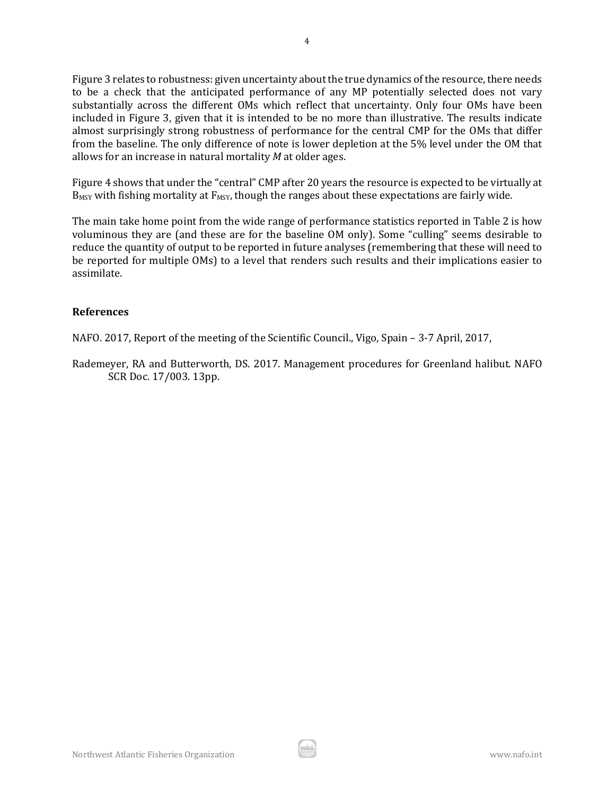Figure 3 relates to robustness: given uncertainty about the true dynamics of the resource, there needs to be a check that the anticipated performance of any MP potentially selected does not vary substantially across the different OMs which reflect that uncertainty. Only four OMs have been included in Figure 3, given that it is intended to be no more than illustrative. The results indicate almost surprisingly strong robustness of performance for the central CMP for the OMs that differ from the baseline. The only difference of note is lower depletion at the 5% level under the OM that allows for an increase in natural mortality *M* at older ages.

Figure 4 shows that under the "central" CMP after 20 years the resource is expected to be virtually at  $B_{MSY}$  with fishing mortality at  $F_{MSY}$ , though the ranges about these expectations are fairly wide.

The main take home point from the wide range of performance statistics reported in Table 2 is how voluminous they are (and these are for the baseline OM only). Some "culling" seems desirable to reduce the quantity of output to be reported in future analyses (remembering that these will need to be reported for multiple OMs) to a level that renders such results and their implications easier to assimilate.

### **References**

NAFO. 2017, Report of the meeting of the Scientific Council., Vigo, Spain – 3-7 April, 2017,

Rademeyer, RA and Butterworth, DS. 2017. Management procedures for Greenland halibut. NAFO SCR Doc. 17/003. 13pp.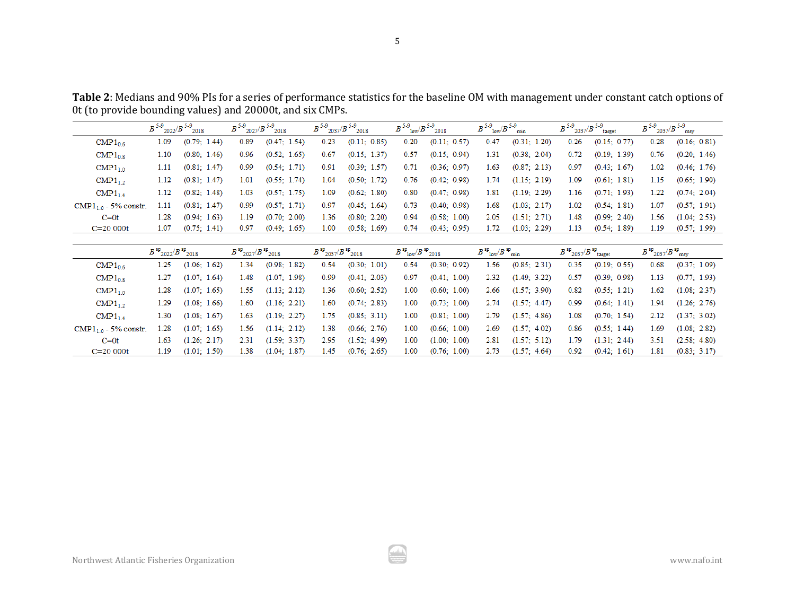**Table 2**: Medians and 90% PIs for a series of performance statistics for the baseline OM with management under constant catch options of 0t (to provide bounding values) and 20000t, and six CMPs.

|                          | $B$ <sup>5-9</sup> 2022/ $B$ <sup>5-9</sup> 2018 |              | $B$ <sup>5-9</sup> 2027/ $B$ <sup>5-9</sup> 2018 |              | $B$ <sup>5-9</sup> 2037/ $B$ <sup>5-9</sup> 2018 |              | $B$ <sup>5-9</sup> <sub>10w</sub> / $B$ <sup>5-9</sup> <sub>2018</sub> |              | $B^{5-9}$ <sub>low</sub> / $B^{5-9}$ <sub>min</sub> |              | $B$ <sup>5-9</sup> 2037/ $B$ <sup>5-9</sup> target |              | $B$ <sup>5-9</sup> 2037/ $B$ <sup>5-9</sup> msy |              |
|--------------------------|--------------------------------------------------|--------------|--------------------------------------------------|--------------|--------------------------------------------------|--------------|------------------------------------------------------------------------|--------------|-----------------------------------------------------|--------------|----------------------------------------------------|--------------|-------------------------------------------------|--------------|
| $\text{CMP1}_{0.6}$      | 1.09                                             | (0.79; 1.44) | 0.89                                             | (0.47; 1.54) | 0.23                                             | (0.11; 0.85) | 0.20                                                                   | (0.11; 0.57) | 0.47                                                | (0.31; 1.20) | 0.26                                               | (0.15; 0.77) | 0.28                                            | (0.16; 0.81) |
| $\text{CMP1}_{0.8}$      | 1.10                                             | (0.80; 1.46) | 0.96                                             | (0.52; 1.65) | 0.67                                             | (0.15; 1.37) | 0.57                                                                   | (0.15; 0.94) | 1.31                                                | (0.38; 2.04) | 0.72                                               | (0.19; 1.39) | 0.76                                            | (0.20; 1.46) |
| $\text{CMP1}_{1.0}$      | 1.11                                             | (0.81; 1.47) | 0.99                                             | (0.54; 1.71) | 0.91                                             | (0.39; 1.57) | 0.71                                                                   | (0.36; 0.97) | 1.63                                                | (0.87; 2.13) | 0.97                                               | (0.43; 1.67) | 1.02                                            | (0.46; 1.76) |
| $\text{CMP1}_1$          | 1.12                                             | (0.81; 1.47) | 1.01                                             | (0.55; 1.74) | 1.04                                             | (0.50; 1.72) | 0.76                                                                   | (0.42; 0.98) | 1.74                                                | (1.15; 2.19) | 1.09                                               | (0.61; 1.81) | 1.15                                            | (0.65: 1.90) |
| $\text{CMP1}_{14}$       | $1.12^{\circ}$                                   | (0.82; 1.48) | 1.03                                             | (0.57; 1.75) | 1.09                                             | (0.62; 1.80) | 0.80                                                                   | (0.47; 0.98) | 1.81                                                | (1.19; 2.29) | 1.16                                               | (0.71; 1.93) | 1.22                                            | (0.74; 2.04) |
| $CMP1_{10} - 5%$ constr. | 1.11                                             | (0.81; 1.47) | 0.99                                             | (0.57; 1.71) | 0.97                                             | (0.45; 1.64) | 0.73                                                                   | (0.40; 0.98) | 1.68                                                | (1.03; 2.17) | 1.02                                               | (0.54; 1.81) | 1.07                                            | (0.57: 1.91) |
| $C=0$ t                  | 1.28                                             | (0.94; 1.63) | 1.19                                             | (0.70; 2.00) | 1.36                                             | (0.80; 2.20) | 0.94                                                                   | (0.58; 1.00) | 2.05                                                | (1.51; 2.71) | 1.48                                               | (0.99; 2.40) | 1.56                                            | (1.04; 2.53) |
| $C = 20000t$             | 1.07                                             | (0.75; 1.41) | 0.97                                             | (0.49; 1.65) | 1.00                                             | (0.58; 1.69) | 0.74                                                                   | (0.43; 0.95) | 1.72                                                | (1.03; 2.29) | 1.13                                               | (0.54; 1.89) | 1.19                                            | (0.57; 1.99) |
|                          |                                                  |              |                                                  |              |                                                  |              |                                                                        |              |                                                     |              |                                                    |              |                                                 |              |

|                                 | $B^{sp}$ <sub>2022</sub> / $B^{sp}$ <sub>2018</sub> |              | $B^{sp}$ <sub>2027</sub> / $B^{sp}$ <sub>2018</sub> |              | $B^{sp}$ <sub>2037</sub> / $B^{sp}$ <sub>2018</sub> |              | $B^{sp}$ <sub>10w</sub> / $B^{sp}$ <sub>2018</sub> |              | $B^{sp}$ <sub>low</sub> / $B^{sp}$ <sub>min</sub> |              | $B^{sp}$ 2037/ $B^{sp}$ <sub>target</sub> |              | $B^{sp}$ <sub>2037</sub> / $B^{sp}$ <sub>msv</sub> |              |
|---------------------------------|-----------------------------------------------------|--------------|-----------------------------------------------------|--------------|-----------------------------------------------------|--------------|----------------------------------------------------|--------------|---------------------------------------------------|--------------|-------------------------------------------|--------------|----------------------------------------------------|--------------|
| $\text{CMP1}_{0.6}$             | 1.25                                                | (1.06; 1.62) | 1.34                                                | (0.98; 1.82) | 0.54                                                | (0.30; 1.01) | 0.54                                               | (0.30; 0.92) | 1.56                                              | (0.85; 2.31) | 0.35                                      | (0.19; 0.55) | 0.68                                               | (0.37; 1.09) |
| $\text{CMP1}_{0.8}$             | 1.27                                                | (1.07; 1.64) | 1.48                                                | (1.07; 1.98) | 0.99                                                | (0.41; 2.03) | 0.97                                               | (0.41; 1.00) | 2.32                                              | (1.49; 3.22) | 0.57                                      | (0.39; 0.98) | 1.13                                               | (0.77; 1.93) |
| $\text{CMP1}_{1.0}$             | 1.28                                                | (1.07; 1.65) | 1.55                                                | (1.13; 2.12) | 1.36                                                | (0.60; 2.52) | 1.00                                               | (0.60; 1.00) | 2.66                                              | (1.57; 3.90) | 0.82                                      | (0.55; 1.21) | 1.62                                               | (1.08; 2.37) |
| $\text{CMP1}_1$                 | 1.29                                                | (1.08; 1.66) | 1.60                                                | (1.16; 2.21) | 1.60                                                | (0.74; 2.83) | 1.00                                               | (0.73; 1.00) | 2.74                                              | (1.57; 4.47) | 0.99                                      | (0.64; 1.41) | 1.94                                               | (1.26; 2.76) |
| $\text{CMP1}_{1.4}$             | 1.30                                                | (1.08; 1.67) | 1.63                                                | (1.19; 2.27) | 1.75                                                | (0.85; 3.11) | 1.00                                               | (0.81; 1.00) | 2.79                                              | (1.57; 4.86) | 1.08                                      | (0.70; 1.54) | 2.12                                               | (1.37; 3.02) |
| $\text{CMP1}_{10}$ - 5% constr. | 1.28                                                | (1.07; 1.65) | 1.56                                                | (1.14; 2.12) | 1.38                                                | (0.66; 2.76) | 1.00                                               | (0.66; 1.00) | 2.69                                              | (1.57; 4.02) | 0.86                                      | (0.55; 1.44) | 1.69                                               | (1.08; 2.82) |
| $C=0$ t                         | 1.63                                                | (1.26: 2.17) | 2.31                                                | (1.59; 3.37) | 2.95                                                | (1.52; 4.99) | 1.00                                               | (1.00; 1.00) | 2.81                                              | (1.57; 5.12) | 1.79                                      | (1.31; 2.44) | 3.51                                               | (2.58; 4.80) |
| $C = 20000t$                    | 1.19                                                | (1.01; 1.50) | 1.38                                                | (1.04; 1.87) | 1.45                                                | (0.76; 2.65) | 1.00                                               | (0.76; 1.00) | 2.73                                              | (1.57; 4.64) | 0.92                                      | (0.42; 1.61) | 1.81                                               | (0.83; 3.17) |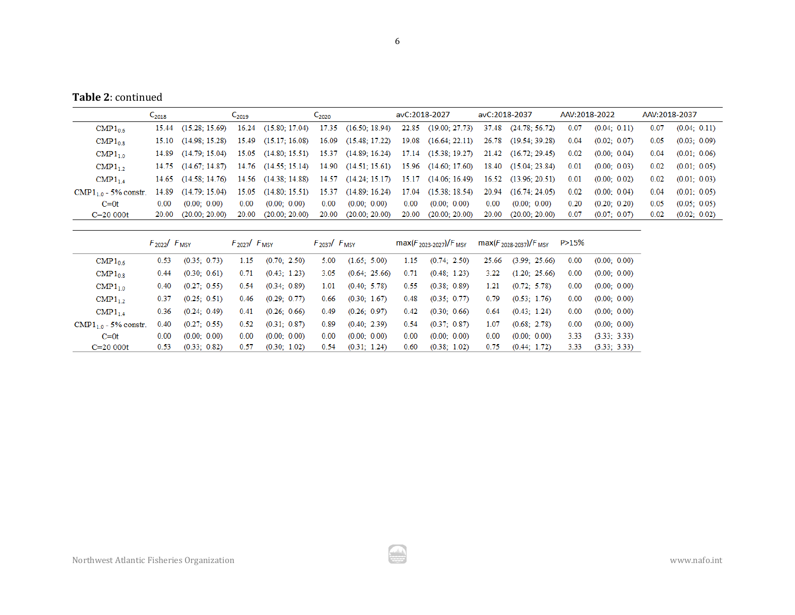**Table 2**: continued

|                          | $C_{2018}$        | $C_{2019}$               |       | $C_{2020}$                                |       | avC:2018-2027        |       | avC:2018-2037                             |       | AAV:2018-2022        |      | AAV:2018-2037 |      |              |
|--------------------------|-------------------|--------------------------|-------|-------------------------------------------|-------|----------------------|-------|-------------------------------------------|-------|----------------------|------|---------------|------|--------------|
| $\text{CMP1}_{0.6}$      |                   | 15.44 (15.28: 15.69)     |       | 16.24 (15.80; 17.04) 17.35 (16.50; 18.94) |       |                      |       | 22.85 (19.00; 27.73)                      |       | 37.48 (24.78; 56.72) | 0.07 | (0.04; 0.11)  | 0.07 | (0.04; 0.11) |
| $\text{CMP1}_{0.8}$      |                   | $15.10$ $(14.98:15.28)$  |       | $15.49$ $(15.17; 16.08)$                  |       | 16.09 (15.48; 17.22) |       | 19.08 (16.64; 22.11) 26.78 (19.54; 39.28) |       |                      | 0.04 | (0.02; 0.07)  | 0.05 | (0.03; 0.09) |
| $\text{CMP1}_{1.0}$      |                   | $14.89$ $(14.79; 15.04)$ |       | 15.05 (14.80; 15.51) 15.37 (14.89; 16.24) |       |                      |       | 17.14 (15.38; 19.27) 21.42 (16.72; 29.45) |       |                      | 0.02 | (0.00; 0.04)  | 0.04 | (0.01; 0.06) |
| $\text{CMP1}_1$          |                   | $14.75$ $(14.67:14.87)$  |       | 14.76 (14.55; 15.14) 14.90 (14.51; 15.61) |       |                      |       | 15.96 (14.60; 17.60) 18.40 (15.04; 23.84) |       |                      | 0.01 | (0.00; 0.03)  | 0.02 | (0.01; 0.05) |
| $\text{CMP1}_{1.4}$      |                   | $14.65$ $(14.58:14.76)$  |       | 14.56 (14.38; 14.88) 14.57 (14.24; 15.17) |       |                      |       | 15.17 (14.06; 16.49) 16.52                |       | (13.96; 20.51)       | 0.01 | (0.00; 0.02)  | 0.02 | (0.01; 0.03) |
| $CMP1_{10} - 5%$ constr. | 14.89             | (14.79: 15.04)           |       | 15.05 (14.80; 15.51) 15.37 (14.89; 16.24) |       |                      |       | 17.04 (15.38; 18.54)                      | 20.94 | (16.74; 24.05)       | 0.02 | (0.00; 0.04)  | 0.04 | (0.01; 0.05) |
| $C=0$ t                  | 0.00 <sub>1</sub> | (0.00; 0.00)             | 0.00  | (0.00; 0.00)                              | 0.00  | (0.00; 0.00)         | 0.00  | (0.00; 0.00)                              | 0.00  | (0.00; 0.00)         | 0.20 | (0.20; 0.20)  | 0.05 | (0.05; 0.05) |
| $C = 20000t$             | 20.00             | (20.00; 20.00)           | 20.00 | (20.00; 20.00)                            | 20.00 | (20.00; 20.00)       | 20.00 | (20.00; 20.00)                            | 20.00 | (20.00; 20.00)       | 0.07 | (0.07; 0.07)  | 0.02 | (0.02; 0.02) |
|                          |                   |                          |       |                                           |       |                      |       |                                           |       |                      |      |               |      |              |

|                                 | $F_{2022}/F_{MSY}$ |              | $F_{2027}$ / $F_{MSY}$ |              | $F_{2037}$ / $F_{MSY}$ |               |      | $max(F_{2023-2027})/F_{MSY}$ |       | $max(F_{2028-2037})/F_{MSY}$ | P>15% |              |
|---------------------------------|--------------------|--------------|------------------------|--------------|------------------------|---------------|------|------------------------------|-------|------------------------------|-------|--------------|
| $\text{CMP1}_{0.6}$             | 0.53               | (0.35; 0.73) | 1.15                   | (0.70; 2.50) | 5.00                   | (1.65; 5.00)  | 1.15 | (0.74; 2.50)                 | 25.66 | (3.99; 25.66)                | 0.00  | (0.00; 0.00) |
| $\text{CMP1}_{0.8}$             | 0.44               | (0.30; 0.61) | 0.71                   | (0.43; 1.23) | 3.05                   | (0.64; 25.66) | 0.71 | (0.48; 1.23)                 | 3.22  | (1.20; 25.66)                | 0.00  | (0.00; 0.00) |
| $\text{CMP1}_{1.0}$             | 0.40               | (0.27; 0.55) | 0.54                   | (0.34; 0.89) | 1.01                   | (0.40; 5.78)  | 0.55 | (0.38; 0.89)                 | 1.21  | (0.72; 5.78)                 | 0.00  | (0.00; 0.00) |
| $\text{CMP1}_1$                 | 0.37               | (0.25; 0.51) | 0.46                   | (0.29; 0.77) | 0.66                   | (0.30; 1.67)  | 0.48 | (0.35; 0.77)                 | 0.79  | (0.53; 1.76)                 | 0.00  | (0.00; 0.00) |
| $\text{CMP1}_{14}$              | 0.36               | (0.24; 0.49) | 0.41                   | (0.26; 0.66) | 0.49                   | (0.26; 0.97)  | 0.42 | (0.30; 0.66)                 | 0.64  | (0.43; 1.24)                 | 0.00  | (0.00; 0.00) |
| $\text{CMP1}_{10}$ - 5% constr. | 0.40               | (0.27; 0.55) | 0.52                   | (0.31; 0.87) | 0.89                   | (0.40; 2.39)  | 0.54 | (0.37; 0.87)                 | 1.07  | (0.68; 2.78)                 | 0.00  | (0.00; 0.00) |
| $C=0t$                          | 0.00               | (0.00; 0.00) | 0.00                   | (0.00; 0.00) | 0.00                   | (0.00; 0.00)  | 0.00 | (0.00; 0.00)                 | 0.00  | (0.00; 0.00)                 | 3.33  | (3.33; 3.33) |
| $C = 20000t$                    | 0.53               | (0.33; 0.82) | 0.57                   | (0.30; 1.02) | 0.54                   | (0.31; 1.24)  | 0.60 | (0.38; 1.02)                 | 0.75  | (0.44; 1.72)                 | 3.33  | (3.33; 3.33) |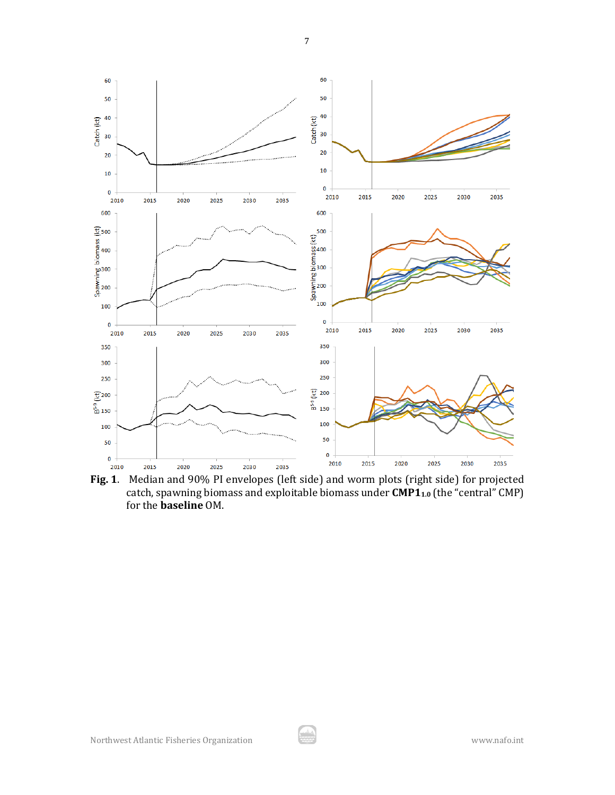

**Fig. 1**. Median and 90% PI envelopes (left side) and worm plots (right side) for projected catch, spawning biomass and exploitable biomass under **CMP1**<sub>1.0</sub> (the "central" CMP) for the **baseline** OM.

7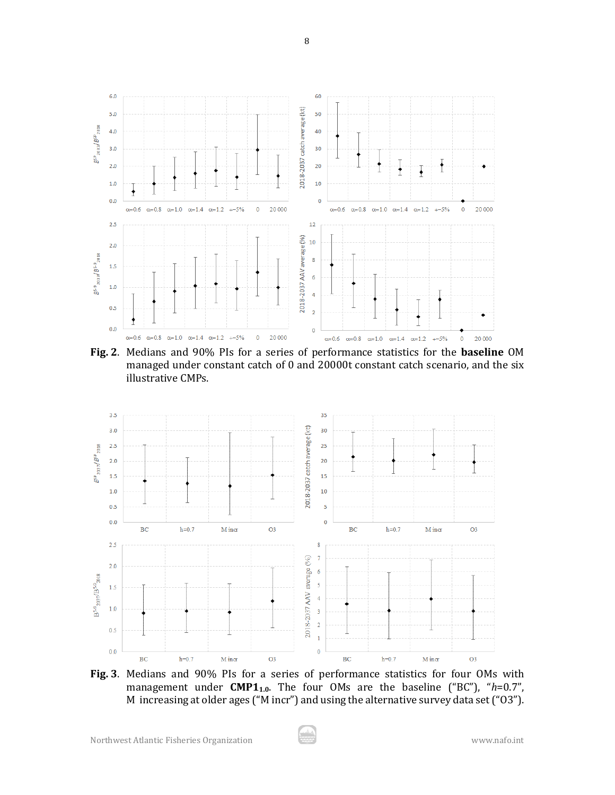

8

**Fig. 2**. Medians and 90% PIs for a series of performance statistics for the **baseline** OM managed under constant catch of 0 and 20000t constant catch scenario, and the six illustrative CMPs.



**Fig. 3**. Medians and 90% PIs for a series of performance statistics for four OMs with management under **CMP11.0**. The four OMs are the baseline ("BC"), "*h*=0.7", M increasing at older ages ("M incr") and using the alternative survey data set ("O3").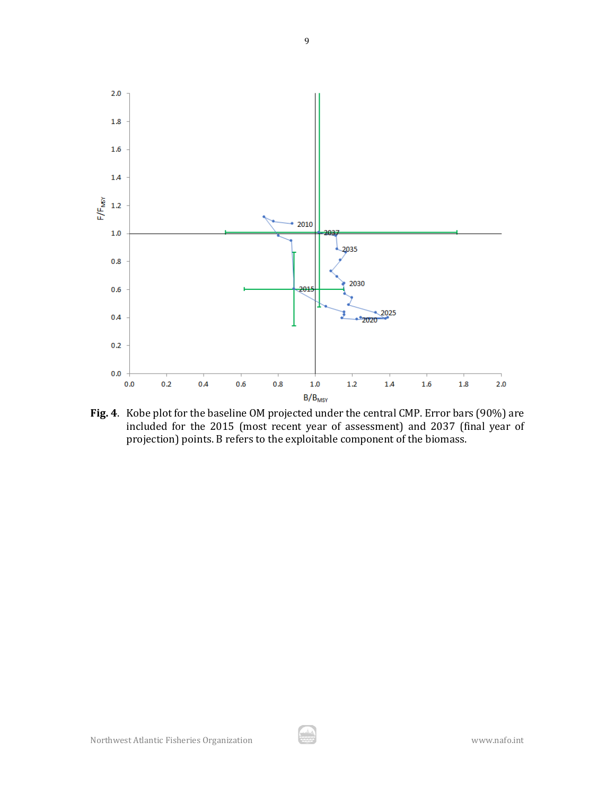

**Fig. 4**. Kobe plot for the baseline OM projected under the central CMP. Error bars (90%) are included for the 2015 (most recent year of assessment) and 2037 (final year of projection) points. B refers to the exploitable component of the biomass.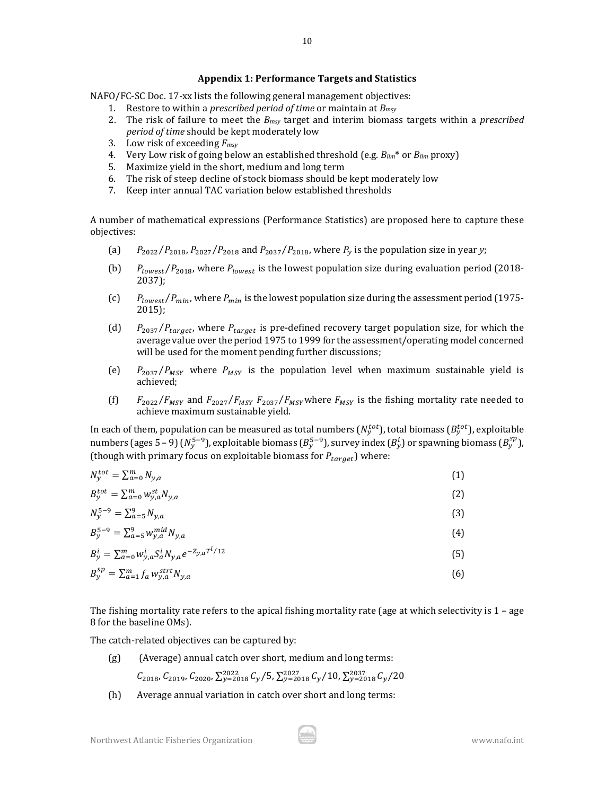#### **Appendix 1: Performance Targets and Statistics**

NAFO/FC-SC Doc. 17-xx lists the following general management objectives:

- 1. Restore to within a *prescribed period of time* or maintain at *Bmsy*
- 2. The risk of failure to meet the *Bmsy* target and interim biomass targets within a *prescribed period of time* should be kept moderately low
- 3. Low risk of exceeding *Fmsy*
- 4. Very Low risk of going below an established threshold (e.g. *Blim*\* or *Blim* proxy)
- 5. Maximize yield in the short, medium and long term
- 6. The risk of steep decline of stock biomass should be kept moderately low
- 7. Keep inter annual TAC variation below established thresholds

A number of mathematical expressions (Performance Statistics) are proposed here to capture these objectives:

- (a)  $P_{2022}/P_{2018}$ ,  $P_{2027}/P_{2018}$  and  $P_{2037}/P_{2018}$ , where  $P_y$  is the population size in year *y*;
- (b)  $P_{lowest}/P_{2018}$ , where  $P_{lowest}$  is the lowest population size during evaluation period (2018-2037);
- (c)  $P_{lowest}/P_{min}$ , where  $P_{min}$  is the lowest population size during the assessment period (1975-2015);
- (d)  $P_{2037}/P_{target}$ , where  $P_{target}$  is pre-defined recovery target population size, for which the average value over the period 1975 to 1999 for the assessment/operating model concerned will be used for the moment pending further discussions;
- (e)  $P_{2037}/P_{MSY}$  where  $P_{MSY}$  is the population level when maximum sustainable yield is achieved;
- (f)  $F_{2022}/F_{MSY}$  and  $F_{2027}/F_{MSY}$   $F_{2037}/F_{MSY}$  where  $F_{MSY}$  is the fishing mortality rate needed to achieve maximum sustainable yield.

In each of them, population can be measured as total numbers ( $N_y^{tot}$ ), total biomass ( $B_y^{tot}$ ), exploitable numbers (ages 5 – 9) ( $N_y^{5-9}$ ), exploitable biomass ( $B_y^{5-9}$ ), survey index ( $B_y^1$ ) or spawning biomass ( $B_y^{5P}$ ), (though with primary focus on exploitable biomass for  $P_{target}$ ) where:

| $N_{v}^{tot} = \sum_{a=0}^{m} N_{y,a}$                               | (1) |
|----------------------------------------------------------------------|-----|
| $B_{\nu}^{tot} = \sum_{a=0}^{m} w_{\nu,a}^{st} N_{\nu,a}$            | (2) |
| $N_{\nu}^{5-9} = \sum_{a=5}^{9} N_{y,a}$                             | (3) |
| $B_{y}^{5-9} = \sum_{a=5}^{9} w_{y,a}^{mid} N_{y,a}$                 | (4) |
| $B_y^i = \sum_{a=0}^m w_{y,a}^i S_a^i N_{v,a} e^{-Z_{y,a} T^i / 12}$ | (5) |
| $B_{\nu}^{sp} = \sum_{a=1}^{m} f_a w_{y,a}^{strt} N_{y,a}$           | (6) |
|                                                                      |     |

The fishing mortality rate refers to the apical fishing mortality rate (age at which selectivity is 1 – age 8 for the baseline OMs).

The catch-related objectives can be captured by:

(g) (Average) annual catch over short, medium and long terms:

 $C_{2018}$ ,  $C_{2019}$ ,  $C_{2020}$ ,  $\sum_{y=2018}^{2022} C_{y}/5$ ,  $\sum_{y=2018}^{2027} C_{y}/10$ ,  $\sum_{y=2018}^{2037} C_{y}/20$ 

(h) Average annual variation in catch over short and long terms: